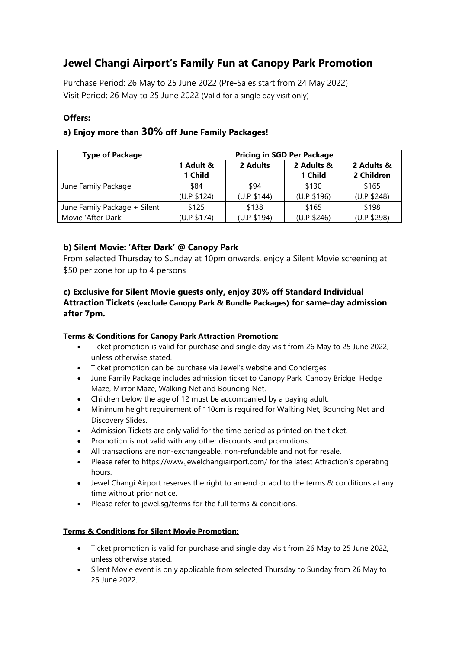# **Jewel Changi Airport's Family Fun at Canopy Park Promotion**

Purchase Period: 26 May to 25 June 2022 (Pre-Sales start from 24 May 2022) Visit Period: 26 May to 25 June 2022 (Valid for a single day visit only)

## **Offers:**

# **a) Enjoy more than 30% off June Family Packages!**

| <b>Type of Package</b>       | <b>Pricing in SGD Per Package</b> |             |             |             |
|------------------------------|-----------------------------------|-------------|-------------|-------------|
|                              | 1 Adult &                         | 2 Adults    | 2 Adults &  | 2 Adults &  |
|                              | 1 Child                           |             | 1 Child     | 2 Children  |
| June Family Package          | \$84                              | \$94        | \$130       | \$165       |
|                              | (U.P \$124)                       | (U.P \$144) | (U.P \$196) | (U.P \$248) |
| June Family Package + Silent | \$125                             | \$138       | \$165       | \$198       |
| Movie 'After Dark'           | (U.P \$174)                       | (U.P \$194) | (U.P \$246) | (U.P \$298) |

## **b) Silent Movie: 'After Dark' @ Canopy Park**

From selected Thursday to Sunday at 10pm onwards, enjoy a Silent Movie screening at \$50 per zone for up to 4 persons

## **c) Exclusive for Silent Movie guests only, enjoy 30% off Standard Individual Attraction Tickets (exclude Canopy Park & Bundle Packages) for same-day admission after 7pm.**

#### **Terms & Conditions for Canopy Park Attraction Promotion:**

- Ticket promotion is valid for purchase and single day visit from 26 May to 25 June 2022, unless otherwise stated.
- Ticket promotion can be purchase via Jewel's website and Concierges.
- June Family Package includes admission ticket to Canopy Park, Canopy Bridge, Hedge Maze, Mirror Maze, Walking Net and Bouncing Net.
- Children below the age of 12 must be accompanied by a paying adult.
- Minimum height requirement of 110cm is required for Walking Net, Bouncing Net and Discovery Slides.
- Admission Tickets are only valid for the time period as printed on the ticket.
- Promotion is not valid with any other discounts and promotions.
- All transactions are non-exchangeable, non-refundable and not for resale.
- Please refer to https://www.jewelchangiairport.com/ for the latest Attraction's operating hours.
- Jewel Changi Airport reserves the right to amend or add to the terms & conditions at any time without prior notice.
- Please refer to jewel.sg/terms for the full terms & conditions.

#### **Terms & Conditions for Silent Movie Promotion:**

- Ticket promotion is valid for purchase and single day visit from 26 May to 25 June 2022, unless otherwise stated.
- Silent Movie event is only applicable from selected Thursday to Sunday from 26 May to 25 June 2022.